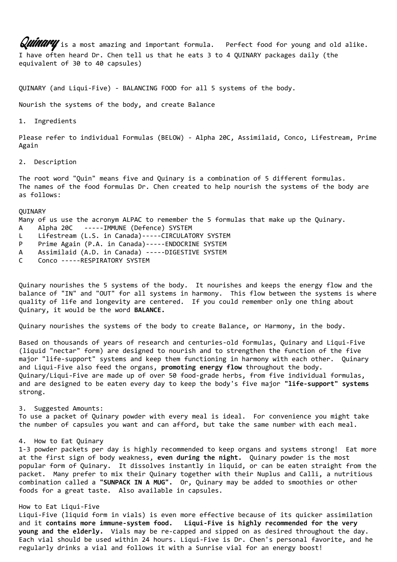**Quindry** is a most amazing and important formula. Perfect food for young and old alike. I have often heard Dr. Chen tell us that he eats 3 to 4 QUINARY packages daily (the equivalent of 30 to 40 capsules)

QUINARY (and Liqui-Five) - BALANCING FOOD for all 5 systems of the body.

Nourish the systems of the body, and create Balance

1. Ingredients

Please refer to individual Formulas (BELOW) - Alpha 20C, Assimilaid, Conco, Lifestream, Prime Again

2. Description

The root word "Quin" means five and Quinary is a combination of 5 different formulas. The names of the food formulas Dr. Chen created to help nourish the systems of the body are as follows:

**OUINARY** 

Many of us use the acronym ALPAC to remember the 5 formulas that make up the Quinary.

- A Alpha 20C -----IMMUNE (Defence) SYSTEM
- L Lifestream (L.S. in Canada)-----CIRCULATORY SYSTEM
- P Prime Again (P.A. in Canada)-----ENDOCRINE SYSTEM
- A Assimilaid (A.D. in Canada) -----DIGESTIVE SYSTEM
- C Conco -----RESPIRATORY SYSTEM

Quinary nourishes the 5 systems of the body. It nourishes and keeps the energy flow and the balance of "IN" and "OUT" for all systems in harmony. This flow between the systems is where quality of life and longevity are centered. If you could remember only one thing about Quinary, it would be the word **BALANCE.**

Quinary nourishes the systems of the body to create Balance, or Harmony, in the body.

Based on thousands of years of research and centuries-old formulas, Quinary and Liqui-Five (liquid "nectar" form) are designed to nourish and to strengthen the function of the five major "life-support" systems and keep them functioning in harmony with each other. Quinary and Liqui-Five also feed the organs, **promoting energy flow** throughout the body. Quinary/Liqui-Five are made up of over 50 food-grade herbs, from five individual formulas, and are designed to be eaten every day to keep the body's five major **"life-support" systems** strong.

3. Suggested Amounts:

To use a packet of Quinary powder with every meal is ideal. For convenience you might take the number of capsules you want and can afford, but take the same number with each meal.

## 4. How to Eat Quinary

1-3 powder packets per day is highly recommended to keep organs and systems strong! Eat more at the first sign of body weakness, **even during the night.** Quinary powder is the most popular form of Quinary. It dissolves instantly in liquid, or can be eaten straight from the packet. Many prefer to mix their Quinary together with their Nuplus and Calli, a nutritious combination called a **"SUNPACK IN A MUG".** Or, Quinary may be added to smoothies or other foods for a great taste. Also available in capsules.

# How to Eat Liqui-Five

Liqui-Five (liquid form in vials) is even more effective because of its quicker assimilation and it **contains more immune-system food. Liqui-Five is highly recommended for the very young and the elderly.** Vials may be re-capped and sipped on as desired throughout the day. Each vial should be used within 24 hours. Liqui-Five is Dr. Chen's personal favorite, and he regularly drinks a vial and follows it with a Sunrise vial for an energy boost!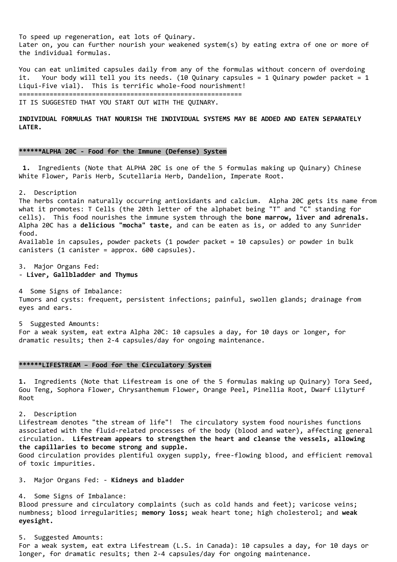To speed up regeneration, eat lots of Quinary. Later on, you can further nourish your weakened system(s) by eating extra of one or more of the individual formulas.

You can eat unlimited capsules daily from any of the formulas without concern of overdoing it. Your body will tell you its needs. (10 Quinary capsules = 1 Quinary powder packet = 1 Liqui-Five vial). This is terrific whole-food nourishment!

==========================================================

IT IS SUGGESTED THAT YOU START OUT WITH THE QUINARY.

**INDIVIDUAL FORMULAS THAT NOURISH THE INDIVIDUAL SYSTEMS MAY BE ADDED AND EATEN SEPARATELY LATER.**

# **\*\*\*\*\*\*ALPHA 20C - Food for the Immune (Defense) System**

**1.** Ingredients (Note that ALPHA 20C is one of the 5 formulas making up Quinary) Chinese White Flower, Paris Herb, Scutellaria Herb, Dandelion, Imperate Root.

2. Description

The herbs contain naturally occurring antioxidants and calcium. Alpha 20C gets its name from what it promotes: T Cells (the 20th letter of the alphabet being "T" and "C" standing for cells). This food nourishes the immune system through the **bone marrow, liver and adrenals.** Alpha 20C has a **delicious "mocha" taste**, and can be eaten as is, or added to any Sunrider food. Available in capsules, powder packets (1 powder packet = 10 capsules) or powder in bulk canisters (1 canister = approx. 600 capsules).

3. Major Organs Fed: - **Liver, Gallbladder and Thymus**

4 Some Signs of Imbalance: Tumors and cysts: frequent, persistent infections; painful, swollen glands; drainage from eyes and ears.

5 Suggested Amounts: For a weak system, eat extra Alpha 20C: 10 capsules a day, for 10 days or longer, for dramatic results; then 2-4 capsules/day for ongoing maintenance.

## **\*\*\*\*\*\*LIFESTREAM – Food for the Circulatory System**

**1.** Ingredients (Note that Lifestream is one of the 5 formulas making up Quinary) Tora Seed, Gou Teng, Sophora Flower, Chrysanthemum Flower, Orange Peel, Pinellia Root, Dwarf Lilyturf Root

2. Description Lifestream denotes "the stream of life"! The circulatory system food nourishes functions associated with the fluid-related processes of the body (blood and water), affecting general circulation. **Lifestream appears to strengthen the heart and cleanse the vessels, allowing the capillaries to become strong and supple.** Good circulation provides plentiful oxygen supply, free-flowing blood, and efficient removal of toxic impurities.

3. Major Organs Fed: - **Kidneys and bladder**

4. Some Signs of Imbalance: Blood pressure and circulatory complaints (such as cold hands and feet); varicose veins; numbness; blood irregularities; **memory loss;** weak heart tone; high cholesterol; and **weak eyesight.**

5. Suggested Amounts: For a weak system, eat extra Lifestream (L.S. in Canada): 10 capsules a day, for 10 days or longer, for dramatic results; then 2-4 capsules/day for ongoing maintenance.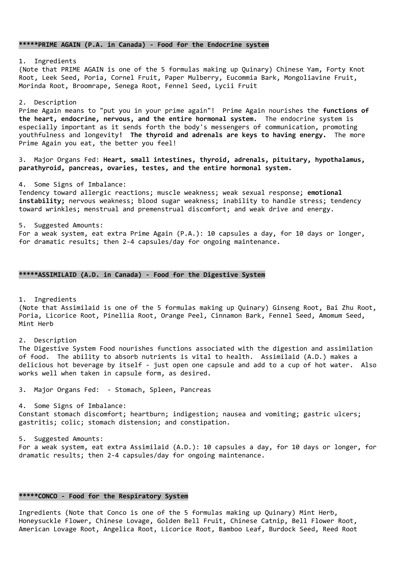# **\*\*\*\*\*PRIME AGAIN (P.A. in Canada) - Food for the Endocrine system**

1. Ingredients (Note that PRIME AGAIN is one of the 5 formulas making up Quinary) Chinese Yam, Forty Knot Root, Leek Seed, Poria, Cornel Fruit, Paper Mulberry, Eucommia Bark, Mongoliavine Fruit, Morinda Root, Broomrape, Senega Root, Fennel Seed, Lycii Fruit

#### 2. Description

Prime Again means to "put you in your prime again"! Prime Again nourishes the **functions of the heart, endocrine, nervous, and the entire hormonal system.** The endocrine system is especially important as it sends forth the body's messengers of communication, promoting youthfulness and longevity**! The thyroid and adrenals are keys to having energy.** The more Prime Again you eat, the better you feel!

3. Major Organs Fed: **Heart, small intestines, thyroid, adrenals, pituitary, hypothalamus, parathyroid, pancreas, ovaries, testes, and the entire hormonal system.**

4. Some Signs of Imbalance:

Tendency toward allergic reactions; muscle weakness; weak sexual response; **emotional instability;** nervous weakness; blood sugar weakness; inability to handle stress; tendency toward wrinkles; menstrual and premenstrual discomfort; and weak drive and energy.

5. Suggested Amounts: For a weak system, eat extra Prime Again (P.A.): 10 capsules a day, for 10 days or longer, for dramatic results; then 2-4 capsules/day for ongoing maintenance.

## **\*\*\*\*\*ASSIMILAID (A.D. in Canada) - Food for the Digestive System**

1. Ingredients

(Note that Assimilaid is one of the 5 formulas making up Quinary) Ginseng Root, Bai Zhu Root, Poria, Licorice Root, Pinellia Root, Orange Peel, Cinnamon Bark, Fennel Seed, Amomum Seed, Mint Herb

2. Description The Digestive System Food nourishes functions associated with the digestion and assimilation of food. The ability to absorb nutrients is vital to health. Assimilaid (A.D.) makes a delicious hot beverage by itself - just open one capsule and add to a cup of hot water. Also works well when taken in capsule form, as desired.

3. Major Organs Fed: - Stomach, Spleen, Pancreas

4. Some Signs of Imbalance: Constant stomach discomfort; heartburn; indigestion; nausea and vomiting; gastric ulcers; gastritis; colic; stomach distension; and constipation.

5. Suggested Amounts: For a weak system, eat extra Assimilaid (A.D.): 10 capsules a day, for 10 days or longer, for dramatic results; then 2-4 capsules/day for ongoing maintenance.

## **\*\*\*\*\*CONCO - Food for the Respiratory System**

Ingredients (Note that Conco is one of the 5 formulas making up Quinary) Mint Herb, Honeysuckle Flower, Chinese Lovage, Golden Bell Fruit, Chinese Catnip, Bell Flower Root, American Lovage Root, Angelica Root, Licorice Root, Bamboo Leaf, Burdock Seed, Reed Root